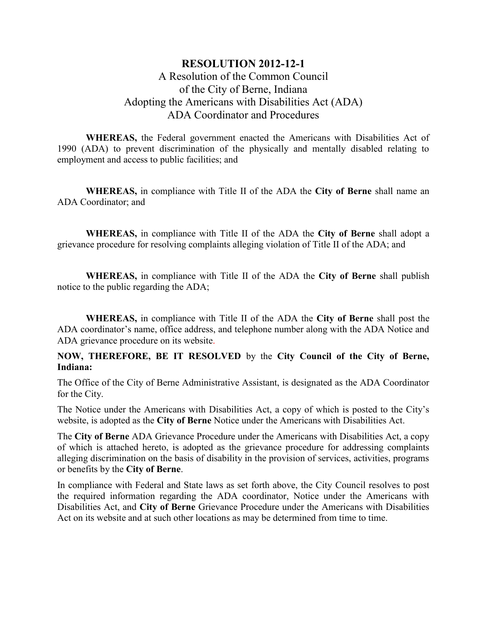## **RESOLUTION 2012-12-1** A Resolution of the Common Council of the City of Berne, Indiana Adopting the Americans with Disabilities Act (ADA) ADA Coordinator and Procedures

**WHEREAS,** the Federal government enacted the Americans with Disabilities Act of 1990 (ADA) to prevent discrimination of the physically and mentally disabled relating to employment and access to public facilities; and

**WHEREAS,** in compliance with Title II of the ADA the **City of Berne** shall name an ADA Coordinator; and

**WHEREAS,** in compliance with Title II of the ADA the **City of Berne** shall adopt a grievance procedure for resolving complaints alleging violation of Title II of the ADA; and

**WHEREAS,** in compliance with Title II of the ADA the **City of Berne** shall publish notice to the public regarding the ADA;

**WHEREAS,** in compliance with Title II of the ADA the **City of Berne** shall post the ADA coordinator's name, office address, and telephone number along with the ADA Notice and ADA grievance procedure on its website.

## **NOW, THEREFORE, BE IT RESOLVED** by the **City Council of the City of Berne, Indiana:**

The Office of the City of Berne Administrative Assistant, is designated as the ADA Coordinator for the City.

The Notice under the Americans with Disabilities Act, a copy of which is posted to the City's website, is adopted as the **City of Berne** Notice under the Americans with Disabilities Act.

The **City of Berne** ADA Grievance Procedure under the Americans with Disabilities Act, a copy of which is attached hereto, is adopted as the grievance procedure for addressing complaints alleging discrimination on the basis of disability in the provision of services, activities, programs or benefits by the **City of Berne**.

In compliance with Federal and State laws as set forth above, the City Council resolves to post the required information regarding the ADA coordinator, Notice under the Americans with Disabilities Act, and **City of Berne** Grievance Procedure under the Americans with Disabilities Act on its website and at such other locations as may be determined from time to time.